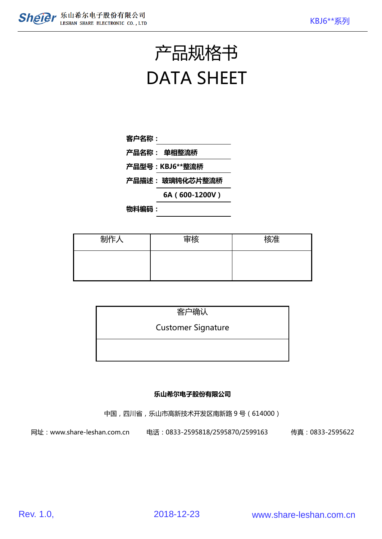# 产品规格书 DATA SHEET

| 客户名称: |  |
|-------|--|
|       |  |

- 产品名称: 单相整流桥
- 产品型号:KBJ6\*\*整流桥
- 产品描述: 玻璃钝化芯片整流桥
	- 6A(600-1200V)

物料编码:

| 制作人 | 审核 | 核准 |
|-----|----|----|
|     |    |    |
|     |    |    |

| 客户确认                      |  |
|---------------------------|--|
| <b>Customer Signature</b> |  |
|                           |  |
|                           |  |

#### 乐山希尔电子股份有限公司

中国,四川省,乐山市高新技术开发区南新路 9 号(614000)

网址:www.share-leshan.com.cn 电话:0833-2595818/2595870/2599163 传真:0833-2595622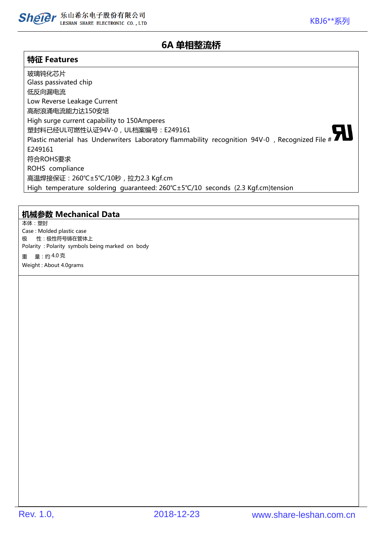

## 6A 单相整流桥

#### 特征 Features

玻璃钝化芯片 Glass passivated chip 低反向漏电流 Low Reverse Leakage Current 高耐浪涌电流能力达150安培 High surge current capability to 150Amperes 塑封料已经UL可燃性认证94V-0,UL档案编号:E249161 Plastic material has Underwriters Laboratory flammability recognition 94V-0, Recognized File # E249161 符合ROHS要求 ROHS compliance 高温焊接保证:260℃±5℃/10秒,拉力2.3 Kgf.cm High temperature soldering guaranteed: 260℃±5℃/10 seconds (2.3 Kgf.cm)tension

#### 机械参数 Mechanical Data

本体:塑封 Case : Molded plastic case 极 性:极性符号铸在管体上 Polarity : Polarity symbols being marked on body 重 量:约 4.0 克 Weight : About 4.0grams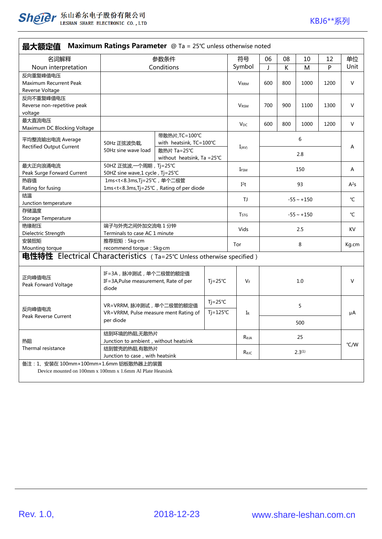

| 最大额定值 Maximum Ratings Parameter @ Ta = 25°C unless otherwise noted        |                                                                                                                                     |                                       |                    |                  |                 |     |      |      |                  |
|---------------------------------------------------------------------------|-------------------------------------------------------------------------------------------------------------------------------------|---------------------------------------|--------------------|------------------|-----------------|-----|------|------|------------------|
| 名词解释                                                                      | 参数条件                                                                                                                                |                                       |                    | 符号               | 06              | 08  | 10   | 12   | 单位               |
| Noun interpretation                                                       | Conditions                                                                                                                          |                                       |                    | Symbol           | J               | К   | M    | P    | Unit             |
| 反向重复峰值电压                                                                  |                                                                                                                                     |                                       |                    |                  |                 |     |      |      |                  |
| Maximum Recurrent Peak                                                    |                                                                                                                                     |                                       |                    | <b>VRRM</b>      | 600             | 800 | 1000 | 1200 | V                |
| Reverse Voltage                                                           |                                                                                                                                     |                                       |                    |                  |                 |     |      |      |                  |
| 反向不重复峰值电压                                                                 |                                                                                                                                     |                                       |                    |                  |                 |     |      |      |                  |
| Reverse non-repetitive peak                                               |                                                                                                                                     |                                       |                    | <b>VRSM</b>      | 700             | 900 | 1100 | 1300 | $\vee$           |
| voltage<br>最大直流电压                                                         |                                                                                                                                     |                                       |                    |                  |                 |     |      |      |                  |
| Maximum DC Blocking Voltage                                               |                                                                                                                                     |                                       |                    | $V_{DC}$         | 600             | 800 | 1000 | 1200 | V                |
|                                                                           |                                                                                                                                     | 带散热片, TC=100℃                         |                    |                  |                 |     |      |      |                  |
| 平均整流输出电流 Average                                                          | with heatsink, TC=100°C<br>50Hz 正弦波负载,<br>散热片 Ta=25℃<br>50Hz sine wave load                                                         |                                       |                    | $I_{(AV)}$       | 6<br>2.8        |     |      |      | Α                |
| <b>Rectified Output Current</b>                                           |                                                                                                                                     |                                       |                    |                  |                 |     |      |      |                  |
|                                                                           |                                                                                                                                     | without heatsink, Ta = $25^{\circ}$ C |                    |                  |                 |     |      |      |                  |
| 最大正向浪涌电流                                                                  | 50HZ 正弦波, 一个周期, Tj=25℃                                                                                                              |                                       |                    | IFSM             |                 |     | 150  |      | Α                |
| Peak Surge Forward Current                                                | 50HZ sine wave,1 cycle, Tj=25℃                                                                                                      |                                       |                    |                  |                 |     |      |      |                  |
| 热容值                                                                       | 1ms <t<8.3ms, td="" tj="25℃," 单个二极管<=""><td>I<sup>2</sup>t</td><td colspan="4">93</td><td>A<sup>2</sup>S</td></t<8.3ms,>            |                                       |                    | I <sup>2</sup> t | 93              |     |      |      | A <sup>2</sup> S |
| Rating for fusing                                                         | 1ms <t<8.3ms, diode<="" of="" per="" rating="" td="" tj="25℃,"><td></td><td></td><td></td><td colspan="4"></td><td></td></t<8.3ms,> |                                       |                    |                  |                 |     |      |      |                  |
| 结温                                                                        |                                                                                                                                     |                                       |                    | TJ               | $-55 \sim +150$ |     |      |      | °C               |
| Junction temperature<br>存储温度                                              |                                                                                                                                     |                                       |                    |                  |                 |     |      |      |                  |
| Storage Temperature                                                       |                                                                                                                                     |                                       |                    | T <sub>STG</sub> | $-55 \sim +150$ |     |      |      | °C               |
| 绝缘耐压                                                                      | 端子与外壳之间外加交流电 1分钟                                                                                                                    |                                       |                    |                  |                 |     |      |      |                  |
| Dielectric Strength                                                       | Terminals to case AC 1 minute                                                                                                       |                                       |                    | 2.5<br>Vids      |                 |     |      |      | <b>KV</b>        |
| 安装扭矩                                                                      | 推荐扭矩: 5kg·cm                                                                                                                        |                                       |                    | Tor              | 8               |     |      |      | Kg.cm            |
| Mounting torque                                                           | recommend torque : 5kg·cm                                                                                                           |                                       |                    |                  |                 |     |      |      |                  |
| 电性特性 Electrical Characteristics (Ta=25°C Unless otherwise specified)      |                                                                                                                                     |                                       |                    |                  |                 |     |      |      |                  |
|                                                                           |                                                                                                                                     |                                       |                    |                  |                 |     |      |      |                  |
| IF=3A, 脉冲测试, 单个二极管的额定值<br>正向峰值电压<br>IF=3A, Pulse measurement, Rate of per |                                                                                                                                     |                                       | $Tj = 25^{\circ}C$ | $V_F$            | 1.0             |     |      |      |                  |
| Peak Forward Voltage                                                      | diode                                                                                                                               |                                       |                    |                  |                 |     |      |      |                  |
|                                                                           | $Tj = 25^{\circ}C$<br>VR=VRRM, 脉冲测试, 单个二极管的额定值<br>$Tj = 125^{\circ}C$<br>VR=VRRM, Pulse measure ment Rating of<br>per diode         |                                       |                    |                  | 5               |     |      |      | μA               |
| 反向峰值电流                                                                    |                                                                                                                                     |                                       |                    |                  |                 |     |      |      |                  |
| Peak Reverse Current                                                      |                                                                                                                                     |                                       |                    | IR               |                 |     |      |      |                  |
|                                                                           |                                                                                                                                     |                                       |                    | 500              |                 |     |      |      |                  |
| 结到环境的热阻,无散热片                                                              |                                                                                                                                     |                                       | $R_{\theta$ JA     | 25               |                 |     |      |      |                  |
| 热阻                                                                        | Junction to ambient, without heatsink                                                                                               |                                       |                    |                  |                 |     |      |      | °C/W             |
| Thermal resistance<br>结到管壳的热阻,有散热片                                        |                                                                                                                                     |                                       |                    | Rejc             | $2.3^{(1)}$     |     |      |      |                  |
| Junction to case, with heatsink<br>备注: 1、安装在 100mm×100mm×1.6mm 铝板散热器上的装置  |                                                                                                                                     |                                       |                    |                  |                 |     |      |      |                  |
| Device mounted on 100mm x 100mm x 1.6mm Al Plate Heatsink                 |                                                                                                                                     |                                       |                    |                  |                 |     |      |      |                  |
|                                                                           |                                                                                                                                     |                                       |                    |                  |                 |     |      |      |                  |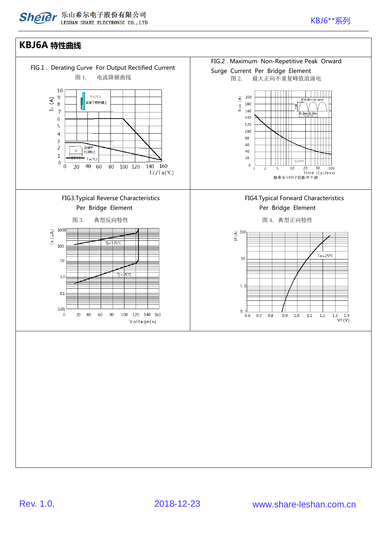### KBJ6A 特性曲线